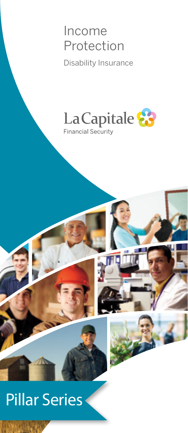## Income Protection

Disability Insurance



# Pillar Series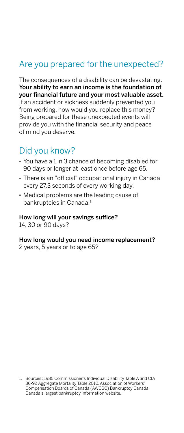#### Are you prepared for the unexpected?

The consequences of a disability can be devastating. Your ability to earn an income is the foundation of your financial future and your most valuable asset. If an accident or sickness suddenly prevented you from working, how would you replace this money? Being prepared for these unexpected events will provide you with the financial security and peace of mind you deserve.

#### Did you know?

- You have a 1 in 3 chance of becoming disabled for 90 days or longer at least once before age 65.
- There is an "official" occupational injury in Canada every 27.3 seconds of every working day.
- Medical problems are the leading cause of bankruptcies in Canada.1

#### How long will your savings suffice?

14, 30 or 90 days?

#### How long would you need income replacement?

2 years, 5 years or to age 65?

1. Sources: 1985 Commissioner's Individual Disability Table A and CIA 86-92 Aggregate Mortality Table 2010, Association of Workers' Compensation Boards of Canada (AWCBC) Bankruptcy Canada, Canada's largest bankruptcy information website.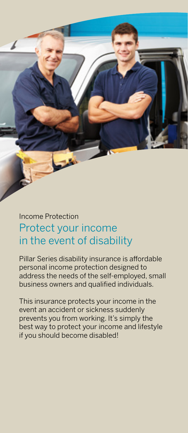### Income Protection Protect your income in the event of disability

Pillar Series disability insurance is affordable personal income protection designed to address the needs of the self-employed, small business owners and qualified individuals.

This insurance protects your income in the event an accident or sickness suddenly prevents you from working. It's simply the best way to protect your income and lifestyle if you should become disabled!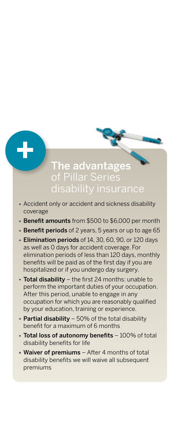#### The advantages of Pillar Series disability insurance

Accident only or accident and sickness disability coverage

**+**

- Benefit amounts from \$500 to \$6,000 per month
- **Benefit periods** of 2 years, 5 years or up to age 65
- **Elimination periods** of 14, 30, 60, 90, or 120 days as well as 0 days for accident coverage. For elimination periods of less than 120 days, monthly benefits will be paid as of the first day if you are hospitalized or if you undergo day surgery.
- $\blacksquare$  Total disability the first 24 months: unable to perform the important duties of your occupation. After this period, unable to engage in any occupation for which you are reasonably qualified by your education, training or experience.
- **Partial disability** 50% of the total disability benefit for a maximum of 6 months
- Total loss of autonomy benefits 100% of total disability benefits for life
- **Waiver of premiums** After 4 months of total disability benefits we will waive all subsequent premiums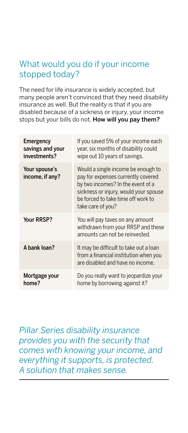#### What would you do if your income stopped today?

The need for life insurance is widely accepted, but many people aren't convinced that they need disability insurance as well. But the reality is that if you are disabled because of a sickness or injury, your income stops but your bills do not. How will you pay them?

| Emergency<br>savings and your<br>investments? | If you saved 5% of your income each<br>year, six months of disability could<br>wipe out 10 years of savings.                                                                                                      |
|-----------------------------------------------|-------------------------------------------------------------------------------------------------------------------------------------------------------------------------------------------------------------------|
| Your spouse's<br>income, if any?              | Would a single income be enough to<br>pay for expenses currently covered<br>by two incomes? In the event of a<br>sickness or injury, would your spouse<br>be forced to take time off work to<br>take care of you? |
| Your RRSP?                                    | You will pay taxes on any amount<br>withdrawn from your RRSP and these<br>amounts can not be reinvested.                                                                                                          |
| A bank loan?                                  | It may be difficult to take out a loan<br>from a financial institution when you<br>are disabled and have no income.                                                                                               |
| Mortgage your<br>home?                        | Do you really want to jeopardize your<br>home by borrowing against it?                                                                                                                                            |

*Pillar Series disability insurance provides you with the security that comes with knowing your income, and everything it supports, is protected. A solution that makes sense.*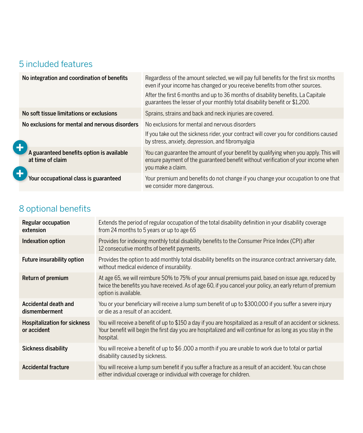### 5 included features

| No integration and coordination of benefits                   | Regardless of the amount selected, we will pay full benefits for the first six months<br>even if your income has changed or you receive benefits from other sources.                           |
|---------------------------------------------------------------|------------------------------------------------------------------------------------------------------------------------------------------------------------------------------------------------|
|                                                               | After the first 6 months and up to 36 months of disability benefits, La Capitale<br>guarantees the lesser of your monthly total disability benefit or \$1,200.                                 |
| No soft tissue limitations or exclusions                      | Sprains, strains and back and neck injuries are covered.                                                                                                                                       |
| No exclusions for mental and nervous disorders                | No exclusions for mental and nervous disorders                                                                                                                                                 |
|                                                               | If you take out the sickness rider, your contract will cover you for conditions caused<br>by stress, anxiety, depression, and fibromyalgia                                                     |
| A guaranteed benefits option is available<br>at time of claim | You can guarantee the amount of your benefit by qualifying when you apply. This will<br>ensure payment of the guaranteed benefit without verification of your income when<br>you make a claim. |
| Your occupational class is guaranteed                         | Your premium and benefits do not change if you change your occupation to one that<br>we consider more dangerous.                                                                               |

## 8 optional benefits

| Regular occupation<br>extension                    | Extends the period of regular occupation of the total disability definition in your disability coverage<br>from 24 months to 5 years or up to age 65                                                                                        |
|----------------------------------------------------|---------------------------------------------------------------------------------------------------------------------------------------------------------------------------------------------------------------------------------------------|
| Indexation option                                  | Provides for indexing monthly total disability benefits to the Consumer Price Index (CPI) after<br>12 consecutive months of benefit payments.                                                                                               |
| Future insurability option                         | Provides the option to add monthly total disability benefits on the insurance contract anniversary date,<br>without medical evidence of insurability.                                                                                       |
| Return of premium                                  | At age 65, we will reimbure 50% to 75% of your annual premiums paid, based on issue age, reduced by<br>twice the benefits you have received. As of age 60, if you cancel your policy, an early return of premium<br>option is available.    |
| Accidental death and<br>dismemberment              | You or your beneficiary will receive a lump sum benefit of up to \$300,000 if you suffer a severe injury<br>or die as a result of an accident.                                                                                              |
| <b>Hospitalization for sickness</b><br>or accident | You will receive a benefit of up to \$150 a day if you are hospitalized as a result of an accident or sickness.<br>Your benefit will begin the first day you are hospitalized and will continue for as long as you stay in the<br>hospital. |
| Sickness disability                                | You will receive a benefit of up to \$6,000 a month if you are unable to work due to total or partial<br>disability caused by sickness.                                                                                                     |
| Accidental fracture                                | You will receive a lump sum benefit if you suffer a fracture as a result of an accident. You can chose<br>either individual coverage or individual with coverage for children.                                                              |